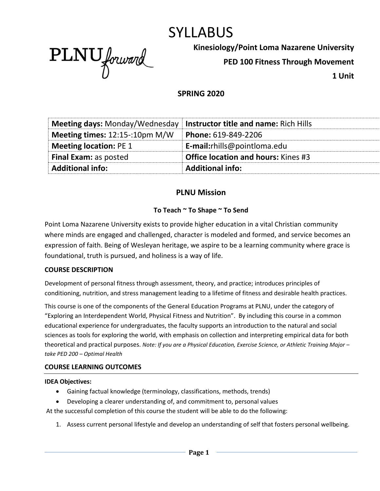# SYLLABUS



**Kinesiology/Point Loma Nazarene University**

**PED 100 Fitness Through Movement**

**1 Unit**

## **SPRING 2020**

| <b>Additional info:</b>               | <b>Additional info:</b>                      |
|---------------------------------------|----------------------------------------------|
| <b>Final Exam: as posted</b>          | <b>Office location and hours: Kines #3</b>   |
| <b>Meeting location: PE 1</b>         | E-mail:rhills@pointloma.edu                  |
| Meeting times: 12:15-:10pm M/W        | Phone: 619-849-2206                          |
| <b>Meeting days: Monday/Wednesday</b> | <b>Instructor title and name: Rich Hills</b> |

#### **PLNU Mission**

#### **To Teach ~ To Shape ~ To Send**

Point Loma Nazarene University exists to provide higher education in a vital Christian community where minds are engaged and challenged, character is modeled and formed, and service becomes an expression of faith. Being of Wesleyan heritage, we aspire to be a learning community where grace is foundational, truth is pursued, and holiness is a way of life.

#### **COURSE DESCRIPTION**

Development of personal fitness through assessment, theory, and practice; introduces principles of conditioning, nutrition, and stress management leading to a lifetime of fitness and desirable health practices.

This course is one of the components of the General Education Programs at PLNU, under the category of "Exploring an Interdependent World, Physical Fitness and Nutrition". By including this course in a common educational experience for undergraduates, the faculty supports an introduction to the natural and social sciences as tools for exploring the world, with emphasis on collection and interpreting empirical data for both theoretical and practical purposes. *Note: If you are a Physical Education, Exercise Science, or Athletic Training Major – take PED 200 – Optimal Health*

#### **COURSE LEARNING OUTCOMES**

#### **IDEA Objectives:**

- Gaining factual knowledge (terminology, classifications, methods, trends)
- Developing a clearer understanding of, and commitment to, personal values

At the successful completion of this course the student will be able to do the following:

1. Assess current personal lifestyle and develop an understanding of self that fosters personal wellbeing.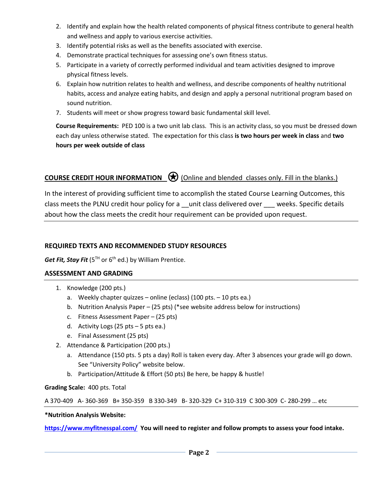- 2. Identify and explain how the health related components of physical fitness contribute to general health and wellness and apply to various exercise activities.
- 3. Identify potential risks as well as the benefits associated with exercise.
- 4. Demonstrate practical techniques for assessing one's own fitness status.
- 5. Participate in a variety of correctly performed individual and team activities designed to improve physical fitness levels.
- 6. Explain how nutrition relates to health and wellness, and describe components of healthy nutritional habits, access and analyze eating habits, and design and apply a personal nutritional program based on sound nutrition.
- 7. Students will meet or show progress toward basic fundamental skill level.

**Course Requirements:** PED 100 is a two unit lab class. This is an activity class, so you must be dressed down each day unless otherwise stated. The expectation for this class **is two hours per week in class** and **two hours per week outside of class**

# **COURSE CREDIT HOUR INFORMATION** © (Online and blended classes only. Fill in the blanks.)

In the interest of providing sufficient time to accomplish the stated Course Learning Outcomes, this class meets the PLNU credit hour policy for a \_\_unit class delivered over \_\_\_ weeks. Specific details about how the class meets the credit hour requirement can be provided upon request.

#### **REQUIRED TEXTS AND RECOMMENDED STUDY RESOURCES**

*Get Fit, Stay Fit* (5<sup>TH</sup> or 6<sup>th</sup> ed.) by William Prentice.

#### **ASSESSMENT AND GRADING**

- 1. Knowledge (200 pts.)
	- a. Weekly chapter quizzes online (eclass) (100 pts. 10 pts ea.)
	- b. Nutrition Analysis Paper (25 pts) (\*see website address below for instructions)
	- c. Fitness Assessment Paper (25 pts)
	- d. Activity Logs (25 pts 5 pts ea.)
	- e. Final Assessment (25 pts)
- 2. Attendance & Participation (200 pts.)
	- a. Attendance (150 pts. 5 pts a day) Roll is taken every day. After 3 absences your grade will go down. See "University Policy" website below.
	- b. Participation/Attitude & Effort (50 pts) Be here, be happy & hustle!

#### **Grading Scale:** 400 pts. Total

A 370-409 A- 360-369 B+ 350-359 B 330-349 B- 320-329 C+ 310-319 C 300-309 C- 280-299 … etc

#### **\*Nutrition Analysis Website:**

**<https://www.myfitnesspal.com/>You will need to register and follow prompts to assess your food intake.**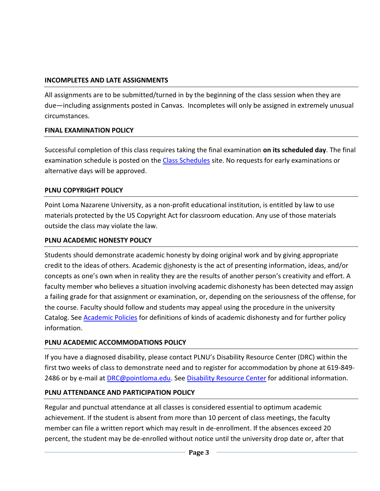## **INCOMPLETES AND LATE ASSIGNMENTS**

All assignments are to be submitted/turned in by the beginning of the class session when they are due—including assignments posted in Canvas. Incompletes will only be assigned in extremely unusual circumstances.

#### **FINAL EXAMINATION POLICY**

Successful completion of this class requires taking the final examination **on its scheduled day**. The final examination schedule is posted on the [Class Schedules](http://www.pointloma.edu/experience/academics/class-schedules) site. No requests for early examinations or alternative days will be approved.

#### **PLNU COPYRIGHT POLICY**

Point Loma Nazarene University, as a non-profit educational institution, is entitled by law to use materials protected by the US Copyright Act for classroom education. Any use of those materials outside the class may violate the law.

#### **PLNU ACADEMIC HONESTY POLICY**

Students should demonstrate academic honesty by doing original work and by giving appropriate credit to the ideas of others. Academic dishonesty is the act of presenting information, ideas, and/or concepts as one's own when in reality they are the results of another person's creativity and effort. A faculty member who believes a situation involving academic dishonesty has been detected may assign a failing grade for that assignment or examination, or, depending on the seriousness of the offense, for the course. Faculty should follow and students may appeal using the procedure in the university Catalog. See [Academic Policies](http://catalog.pointloma.edu/content.php?catoid=18&navoid=1278) for definitions of kinds of academic dishonesty and for further policy information.

# **PLNU ACADEMIC ACCOMMODATIONS POLICY**

If you have a diagnosed disability, please contact PLNU's Disability Resource Center (DRC) within the first two weeks of class to demonstrate need and to register for accommodation by phone at 619-849- 2486 or by e-mail at **DRC@pointloma.edu.** See [Disability Resource Center](http://www.pointloma.edu/experience/offices/administrative-offices/academic-advising-office/disability-resource-center) for additional information.

# **PLNU ATTENDANCE AND PARTICIPATION POLICY**

Regular and punctual attendance at all classes is considered essential to optimum academic achievement. If the student is absent from more than 10 percent of class meetings, the faculty member can file a written report which may result in de-enrollment. If the absences exceed 20 percent, the student may be de-enrolled without notice until the university drop date or, after that